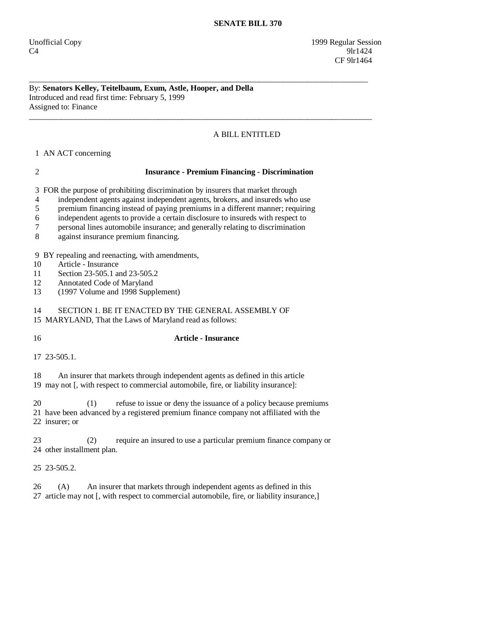By: **Senators Kelley, Teitelbaum, Exum, Astle, Hooper, and Della**  Introduced and read first time: February 5, 1999 Assigned to: Finance

# A BILL ENTITLED

1 AN ACT concerning

### 2 **Insurance - Premium Financing - Discrimination**

\_\_\_\_\_\_\_\_\_\_\_\_\_\_\_\_\_\_\_\_\_\_\_\_\_\_\_\_\_\_\_\_\_\_\_\_\_\_\_\_\_\_\_\_\_\_\_\_\_\_\_\_\_\_\_\_\_\_\_\_\_\_\_\_\_\_\_\_\_\_\_\_\_\_\_\_\_\_\_\_\_\_\_\_

\_\_\_\_\_\_\_\_\_\_\_\_\_\_\_\_\_\_\_\_\_\_\_\_\_\_\_\_\_\_\_\_\_\_\_\_\_\_\_\_\_\_\_\_\_\_\_\_\_\_\_\_\_\_\_\_\_\_\_\_\_\_\_\_\_\_\_\_\_\_\_\_\_\_\_\_\_\_\_\_\_\_\_\_\_

3 FOR the purpose of prohibiting discrimination by insurers that market through

4 independent agents against independent agents, brokers, and insureds who use

5 premium financing instead of paying premiums in a different manner; requiring

6 independent agents to provide a certain disclosure to insureds with respect to

7 personal lines automobile insurance; and generally relating to discrimination

8 against insurance premium financing.

9 BY repealing and reenacting, with amendments,

10 Article - Insurance

11 Section 23-505.1 and 23-505.2

12 Annotated Code of Maryland

13 (1997 Volume and 1998 Supplement)

14 SECTION 1. BE IT ENACTED BY THE GENERAL ASSEMBLY OF

15 MARYLAND, That the Laws of Maryland read as follows:

# 16 **Article - Insurance**

17 23-505.1.

 18 An insurer that markets through independent agents as defined in this article 19 may not [, with respect to commercial automobile, fire, or liability insurance]:

20 (1) refuse to issue or deny the issuance of a policy because premiums 21 have been advanced by a registered premium finance company not affiliated with the 22 insurer; or

 23 (2) require an insured to use a particular premium finance company or 24 other installment plan.

25 23-505.2.

 26 (A) An insurer that markets through independent agents as defined in this 27 article may not [, with respect to commercial automobile, fire, or liability insurance,]